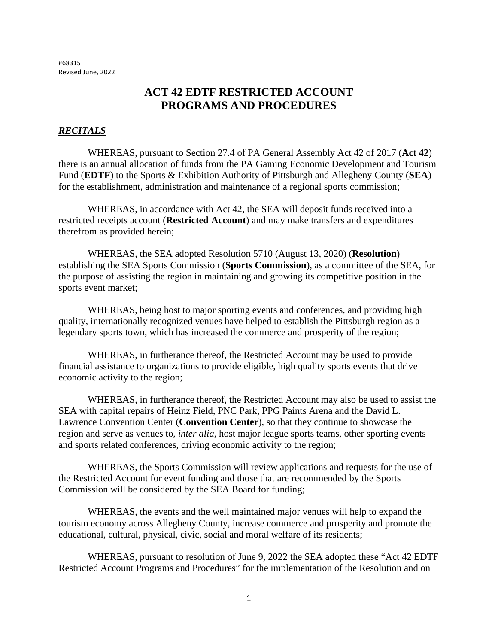#68315 Revised June, 2022

# **ACT 42 EDTF RESTRICTED ACCOUNT PROGRAMS AND PROCEDURES**

#### *RECITALS*

WHEREAS, pursuant to Section 27.4 of PA General Assembly Act 42 of 2017 (**Act 42**) there is an annual allocation of funds from the PA Gaming Economic Development and Tourism Fund (**EDTF**) to the Sports & Exhibition Authority of Pittsburgh and Allegheny County (**SEA**) for the establishment, administration and maintenance of a regional sports commission;

WHEREAS, in accordance with Act 42, the SEA will deposit funds received into a restricted receipts account (**Restricted Account**) and may make transfers and expenditures therefrom as provided herein;

WHEREAS, the SEA adopted Resolution 5710 (August 13, 2020) (**Resolution**) establishing the SEA Sports Commission (**Sports Commission**), as a committee of the SEA, for the purpose of assisting the region in maintaining and growing its competitive position in the sports event market;

WHEREAS, being host to major sporting events and conferences, and providing high quality, internationally recognized venues have helped to establish the Pittsburgh region as a legendary sports town, which has increased the commerce and prosperity of the region;

WHEREAS, in furtherance thereof, the Restricted Account may be used to provide financial assistance to organizations to provide eligible, high quality sports events that drive economic activity to the region;

WHEREAS, in furtherance thereof, the Restricted Account may also be used to assist the SEA with capital repairs of Heinz Field, PNC Park, PPG Paints Arena and the David L. Lawrence Convention Center (**Convention Center**), so that they continue to showcase the region and serve as venues to, *inter alia*, host major league sports teams, other sporting events and sports related conferences, driving economic activity to the region;

WHEREAS, the Sports Commission will review applications and requests for the use of the Restricted Account for event funding and those that are recommended by the Sports Commission will be considered by the SEA Board for funding;

WHEREAS, the events and the well maintained major venues will help to expand the tourism economy across Allegheny County, increase commerce and prosperity and promote the educational, cultural, physical, civic, social and moral welfare of its residents;

WHEREAS, pursuant to resolution of June 9, 2022 the SEA adopted these "Act 42 EDTF Restricted Account Programs and Procedures" for the implementation of the Resolution and on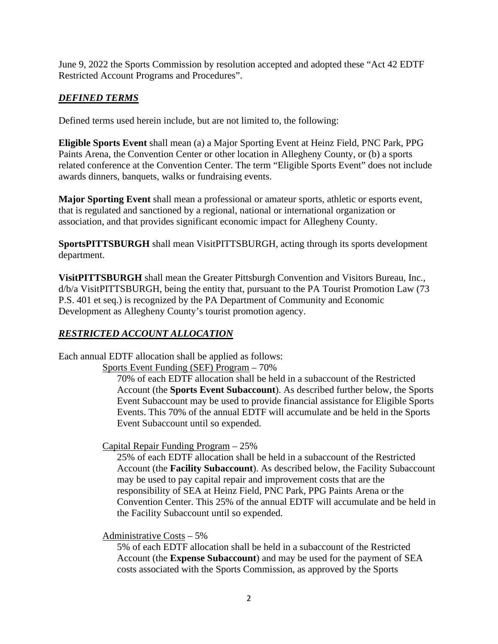June 9, 2022 the Sports Commission by resolution accepted and adopted these "Act 42 EDTF Restricted Account Programs and Procedures".

## *DEFINED TERMS*

Defined terms used herein include, but are not limited to, the following:

**Eligible Sports Event** shall mean (a) a Major Sporting Event at Heinz Field, PNC Park, PPG Paints Arena, the Convention Center or other location in Allegheny County, or (b) a sports related conference at the Convention Center. The term "Eligible Sports Event" does not include awards dinners, banquets, walks or fundraising events.

**Major Sporting Event** shall mean a professional or amateur sports, athletic or esports event, that is regulated and sanctioned by a regional, national or international organization or association, and that provides significant economic impact for Allegheny County.

**SportsPITTSBURGH** shall mean VisitPITTSBURGH, acting through its sports development department.

**VisitPITTSBURGH** shall mean the Greater Pittsburgh Convention and Visitors Bureau, Inc., d/b/a VisitPITTSBURGH, being the entity that, pursuant to the PA Tourist Promotion Law (73 P.S. 401 et seq.) is recognized by the PA Department of Community and Economic Development as Allegheny County's tourist promotion agency.

### *RESTRICTED ACCOUNT ALLOCATION*

Each annual EDTF allocation shall be applied as follows:

Sports Event Funding (SEF) Program – 70%

70% of each EDTF allocation shall be held in a subaccount of the Restricted Account (the **Sports Event Subaccount**). As described further below, the Sports Event Subaccount may be used to provide financial assistance for Eligible Sports Events. This 70% of the annual EDTF will accumulate and be held in the Sports Event Subaccount until so expended.

Capital Repair Funding Program – 25%

25% of each EDTF allocation shall be held in a subaccount of the Restricted Account (the **Facility Subaccount**). As described below, the Facility Subaccount may be used to pay capital repair and improvement costs that are the responsibility of SEA at Heinz Field, PNC Park, PPG Paints Arena or the Convention Center. This 25% of the annual EDTF will accumulate and be held in the Facility Subaccount until so expended.

Administrative Costs – 5%

5% of each EDTF allocation shall be held in a subaccount of the Restricted Account (the **Expense Subaccount**) and may be used for the payment of SEA costs associated with the Sports Commission, as approved by the Sports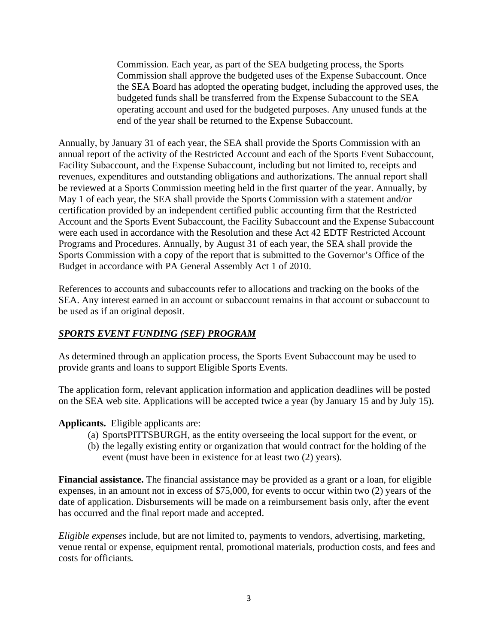Commission. Each year, as part of the SEA budgeting process, the Sports Commission shall approve the budgeted uses of the Expense Subaccount. Once the SEA Board has adopted the operating budget, including the approved uses, the budgeted funds shall be transferred from the Expense Subaccount to the SEA operating account and used for the budgeted purposes. Any unused funds at the end of the year shall be returned to the Expense Subaccount.

Annually, by January 31 of each year, the SEA shall provide the Sports Commission with an annual report of the activity of the Restricted Account and each of the Sports Event Subaccount, Facility Subaccount, and the Expense Subaccount, including but not limited to, receipts and revenues, expenditures and outstanding obligations and authorizations. The annual report shall be reviewed at a Sports Commission meeting held in the first quarter of the year. Annually, by May 1 of each year, the SEA shall provide the Sports Commission with a statement and/or certification provided by an independent certified public accounting firm that the Restricted Account and the Sports Event Subaccount, the Facility Subaccount and the Expense Subaccount were each used in accordance with the Resolution and these Act 42 EDTF Restricted Account Programs and Procedures. Annually, by August 31 of each year, the SEA shall provide the Sports Commission with a copy of the report that is submitted to the Governor's Office of the Budget in accordance with PA General Assembly Act 1 of 2010.

References to accounts and subaccounts refer to allocations and tracking on the books of the SEA. Any interest earned in an account or subaccount remains in that account or subaccount to be used as if an original deposit.

#### *SPORTS EVENT FUNDING (SEF) PROGRAM*

As determined through an application process, the Sports Event Subaccount may be used to provide grants and loans to support Eligible Sports Events.

The application form, relevant application information and application deadlines will be posted on the SEA web site. Applications will be accepted twice a year (by January 15 and by July 15).

#### **Applicants.** Eligible applicants are:

- (a) SportsPITTSBURGH, as the entity overseeing the local support for the event, or
- (b) the legally existing entity or organization that would contract for the holding of the event (must have been in existence for at least two (2) years).

**Financial assistance.** The financial assistance may be provided as a grant or a loan, for eligible expenses, in an amount not in excess of \$75,000, for events to occur within two (2) years of the date of application. Disbursements will be made on a reimbursement basis only, after the event has occurred and the final report made and accepted.

*Eligible expenses* include, but are not limited to, payments to vendors, advertising, marketing, venue rental or expense, equipment rental, promotional materials, production costs, and fees and costs for officiants*.*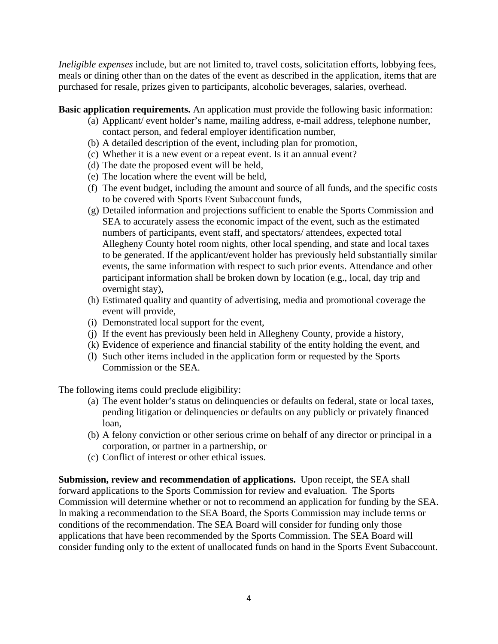*Ineligible expenses* include, but are not limited to, travel costs, solicitation efforts, lobbying fees, meals or dining other than on the dates of the event as described in the application, items that are purchased for resale, prizes given to participants, alcoholic beverages, salaries, overhead.

**Basic application requirements.** An application must provide the following basic information:

- (a) Applicant/ event holder's name, mailing address, e-mail address, telephone number, contact person, and federal employer identification number,
- (b) A detailed description of the event, including plan for promotion,
- (c) Whether it is a new event or a repeat event. Is it an annual event?
- (d) The date the proposed event will be held,
- (e) The location where the event will be held,
- (f) The event budget, including the amount and source of all funds, and the specific costs to be covered with Sports Event Subaccount funds,
- (g) Detailed information and projections sufficient to enable the Sports Commission and SEA to accurately assess the economic impact of the event, such as the estimated numbers of participants, event staff, and spectators/ attendees, expected total Allegheny County hotel room nights, other local spending, and state and local taxes to be generated. If the applicant/event holder has previously held substantially similar events, the same information with respect to such prior events. Attendance and other participant information shall be broken down by location (e.g., local, day trip and overnight stay),
- (h) Estimated quality and quantity of advertising, media and promotional coverage the event will provide,
- (i) Demonstrated local support for the event,
- (j) If the event has previously been held in Allegheny County, provide a history,
- (k) Evidence of experience and financial stability of the entity holding the event, and
- (l) Such other items included in the application form or requested by the Sports Commission or the SEA.

The following items could preclude eligibility:

- (a) The event holder's status on delinquencies or defaults on federal, state or local taxes, pending litigation or delinquencies or defaults on any publicly or privately financed loan,
- (b) A felony conviction or other serious crime on behalf of any director or principal in a corporation, or partner in a partnership, or
- (c) Conflict of interest or other ethical issues.

**Submission, review and recommendation of applications.** Upon receipt, the SEA shall forward applications to the Sports Commission for review and evaluation. The Sports Commission will determine whether or not to recommend an application for funding by the SEA. In making a recommendation to the SEA Board, the Sports Commission may include terms or conditions of the recommendation. The SEA Board will consider for funding only those applications that have been recommended by the Sports Commission. The SEA Board will consider funding only to the extent of unallocated funds on hand in the Sports Event Subaccount.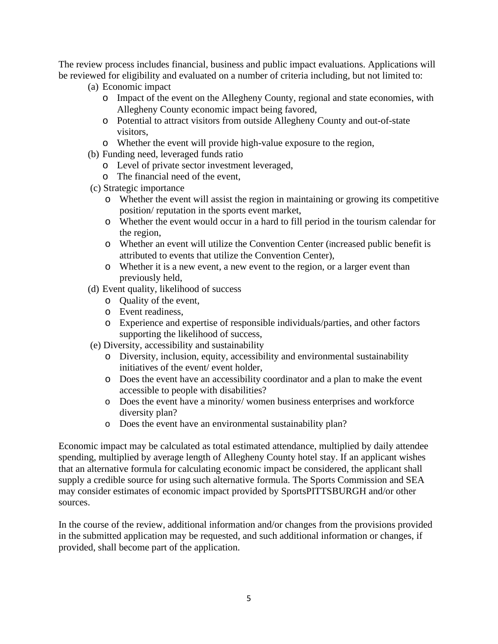The review process includes financial, business and public impact evaluations. Applications will be reviewed for eligibility and evaluated on a number of criteria including, but not limited to:

- (a) Economic impact
	- o Impact of the event on the Allegheny County, regional and state economies, with Allegheny County economic impact being favored,
	- o Potential to attract visitors from outside Allegheny County and out-of-state visitors,
	- o Whether the event will provide high-value exposure to the region,
- (b) Funding need, leveraged funds ratio
	- o Level of private sector investment leveraged,
	- o The financial need of the event,
- (c) Strategic importance
	- o Whether the event will assist the region in maintaining or growing its competitive position/ reputation in the sports event market,
	- o Whether the event would occur in a hard to fill period in the tourism calendar for the region,
	- o Whether an event will utilize the Convention Center (increased public benefit is attributed to events that utilize the Convention Center),
	- o Whether it is a new event, a new event to the region, or a larger event than previously held,
- (d) Event quality, likelihood of success
	- o Quality of the event,
	- o Event readiness,
	- o Experience and expertise of responsible individuals/parties, and other factors supporting the likelihood of success,
- (e) Diversity, accessibility and sustainability
	- o Diversity, inclusion, equity, accessibility and environmental sustainability initiatives of the event/ event holder,
	- o Does the event have an accessibility coordinator and a plan to make the event accessible to people with disabilities?
	- o Does the event have a minority/ women business enterprises and workforce diversity plan?
	- o Does the event have an environmental sustainability plan?

Economic impact may be calculated as total estimated attendance, multiplied by daily attendee spending, multiplied by average length of Allegheny County hotel stay. If an applicant wishes that an alternative formula for calculating economic impact be considered, the applicant shall supply a credible source for using such alternative formula. The Sports Commission and SEA may consider estimates of economic impact provided by SportsPITTSBURGH and/or other sources.

In the course of the review, additional information and/or changes from the provisions provided in the submitted application may be requested, and such additional information or changes, if provided, shall become part of the application.